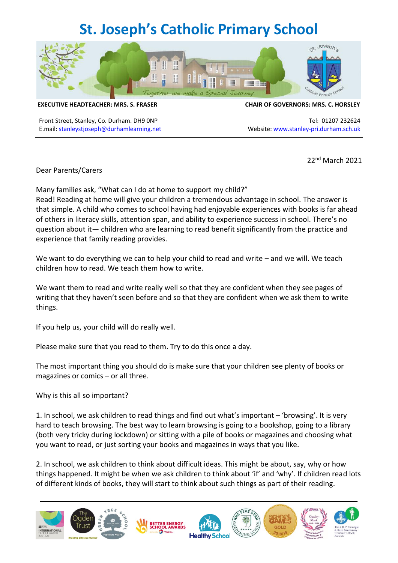## **St. Joseph's Catholic Primary School**



**EXECUTIVE HEADTEACHER: MRS. S. FRASER CHAIR OF GOVERNORS: MRS. C. HORSLEY**

Front Street, Stanley, Co. Durham. DH9 0NP Tel: 01207 232624 E.mail: [stanleystjoseph@durhamlearning.net](mailto:stanleystjoseph@durhamlearning.net) Website: [www.stanley-pri.durham.sch.uk](http://www.stanley-pri.durham.sch.uk/)

22nd March 2021

Dear Parents/Carers

Many families ask, "What can I do at home to support my child?"

Read! Reading at home will give your children a tremendous advantage in school. The answer is that simple. A child who comes to school having had enjoyable experiences with books is far ahead of others in literacy skills, attention span, and ability to experience success in school. There's no question about it— children who are learning to read benefit significantly from the practice and experience that family reading provides.

We want to do everything we can to help your child to read and write – and we will. We teach children how to read. We teach them how to write.

We want them to read and write really well so that they are confident when they see pages of writing that they haven't seen before and so that they are confident when we ask them to write things.

If you help us, your child will do really well.

Please make sure that you read to them. Try to do this once a day.

The most important thing you should do is make sure that your children see plenty of books or magazines or comics – or all three.

Why is this all so important?

1. In school, we ask children to read things and find out what's important – 'browsing'. It is very hard to teach browsing. The best way to learn browsing is going to a bookshop, going to a library (both very tricky during lockdown) or sitting with a pile of books or magazines and choosing what you want to read, or just sorting your books and magazines in ways that you like.

2. In school, we ask children to think about difficult ideas. This might be about, say, why or how things happened. It might be when we ask children to think about 'if' and 'why'. If children read lots of different kinds of books, they will start to think about such things as part of their reading.

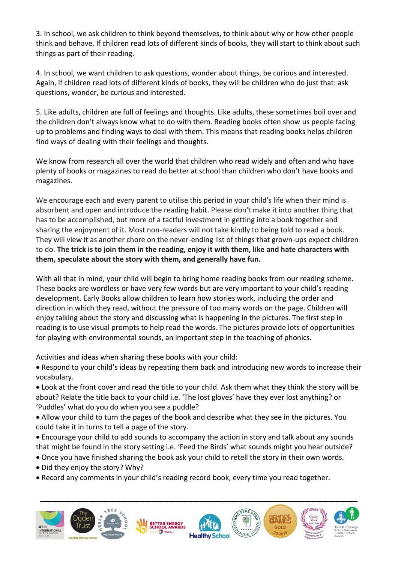3. In school, we ask children to think beyond themselves, to think about why or how other people think and behave. If children read lots of different kinds of books, they will start to think about such things as part of their reading.

4. In school, we want children to ask questions, wonder about things, be curious and interested. Again, if children read lots of different kinds of books, they will be children who do just that: ask questions, wonder, be curious and interested.

5. Like adults, children are full of feelings and thoughts. Like adults, these sometimes boil over and the children don't always know what to do with them. Reading books often show us people facing up to problems and finding ways to deal with them. This means that reading books helps children find ways of dealing with their feelings and thoughts.

We know from research all over the world that children who read widely and often and who have plenty of books or magazines to read do better at school than children who don't have books and magazines.

We encourage each and every parent to utilise this period in your child's life when their mind is absorbent and open and introduce the reading habit. Please don't make it into another thing that has to be accomplished, but more of a tactful investment in getting into a book together and sharing the enjoyment of it. Most non-readers will not take kindly to being told to read a book. They will view it as another chore on the never-ending list of things that grown-ups expect children to do. **The trick is to join them in the reading, enjoy it with them, like and hate characters with them, speculate about the story with them, and generally have fun.**

With all that in mind, your child will begin to bring home reading books from our reading scheme. These books are wordless or have very few words but are very important to your child's reading development. Early Books allow children to learn how stories work, including the order and direction in which they read, without the pressure of too many words on the page. Children will enjoy talking about the story and discussing what is happening in the pictures. The first step in reading is to use visual prompts to help read the words. The pictures provide lots of opportunities for playing with environmental sounds, an important step in the teaching of phonics.

Activities and ideas when sharing these books with your child:

- Respond to your child's ideas by repeating them back and introducing new words to increase their vocabulary.
- Look at the front cover and read the title to your child. Ask them what they think the story will be about? Relate the title back to your child i.e. 'The lost gloves' have they ever lost anything? or 'Puddles' what do you do when you see a puddle?
- Allow your child to turn the pages of the book and describe what they see in the pictures. You could take it in turns to tell a page of the story.
- Encourage your child to add sounds to accompany the action in story and talk about any sounds that might be found in the story setting i.e. 'Feed the Birds' what sounds might you hear outside?
- Once you have finished sharing the book ask your child to retell the story in their own words.
- Did they enjoy the story? Why?
- Record any comments in your child's reading record book, every time you read together.